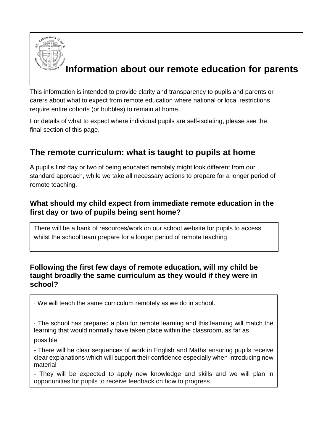

# **Information about our remote education for parents**

This information is intended to provide clarity and transparency to pupils and parents or carers about what to expect from remote education where national or local restrictions require entire cohorts (or bubbles) to remain at home. .

For details of what to expect where individual pupils are self-isolating, please see the final section of this page.

### **The remote curriculum: what is taught to pupils at home**

A pupil's first day or two of being educated remotely might look different from our standard approach, while we take all necessary actions to prepare for a longer period of remote teaching.

#### **What should my child expect from immediate remote education in the first day or two of pupils being sent home?**

There will be a bank of resources/work on our school website for pupils to access whilst the school team prepare for a longer period of remote teaching.

#### **Following the first few days of remote education, will my child be taught broadly the same curriculum as they would if they were in school?**

· We will teach the same curriculum remotely as we do in school.

· The school has prepared a plan for remote learning and this learning will match the learning that would normally have taken place within the classroom, as far as

possible

- There will be clear sequences of work in English and Maths ensuring pupils receive clear explanations which will support their confidence especially when introducing new material

- They will be expected to apply new knowledge and skills and we will plan in opportunities for pupils to receive feedback on how to progress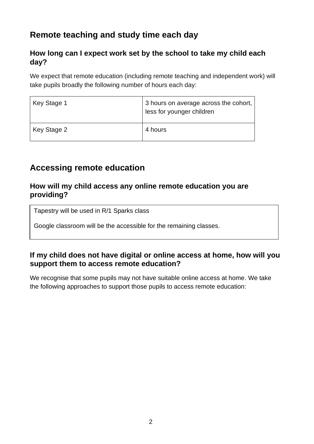# **Remote teaching and study time each day**

#### **How long can I expect work set by the school to take my child each day?**

We expect that remote education (including remote teaching and independent work) will take pupils broadly the following number of hours each day:

| Key Stage 1 | 3 hours on average across the cohort,<br>less for younger children |
|-------------|--------------------------------------------------------------------|
| Key Stage 2 | 4 hours                                                            |

### **Accessing remote education**

#### **How will my child access any online remote education you are providing?**

Tapestry will be used in R/1 Sparks class

Google classroom will be the accessible for the remaining classes.

#### **If my child does not have digital or online access at home, how will you support them to access remote education?**

We recognise that some pupils may not have suitable online access at home. We take the following approaches to support those pupils to access remote education: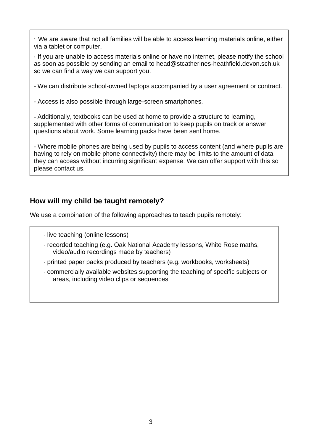· We are aware that not all families will be able to access learning materials online, either via a tablet or computer.

· If you are unable to access materials online or have no internet, please notify the school as soon as possible by sending an email to head@stcatherines-heathfield.devon.sch.uk so we can find a way we can support you.

- We can distribute school-owned laptops accompanied by a user agreement or contract.

- Access is also possible through large-screen smartphones.

- Additionally, textbooks can be used at home to provide a structure to learning, supplemented with other forms of communication to keep pupils on track or answer questions about work. Some learning packs have been sent home.

- Where mobile phones are being used by pupils to access content (and where pupils are having to rely on mobile phone connectivity) there may be limits to the amount of data they can access without incurring significant expense. We can offer support with this so please contact us.

#### **How will my child be taught remotely?**

We use a combination of the following approaches to teach pupils remotely:

- · live teaching (online lessons)
- · recorded teaching (e.g. Oak National Academy lessons, White Rose maths, video/audio recordings made by teachers)
- · printed paper packs produced by teachers (e.g. workbooks, worksheets)
- · commercially available websites supporting the teaching of specific subjects or areas, including video clips or sequences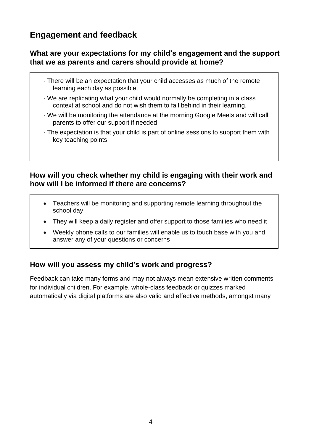# **Engagement and feedback**

#### **What are your expectations for my child's engagement and the support that we as parents and carers should provide at home?**

- · There will be an expectation that your child accesses as much of the remote learning each day as possible.
- · We are replicating what your child would normally be completing in a class context at school and do not wish them to fall behind in their learning.
- · We will be monitoring the attendance at the morning Google Meets and will call parents to offer our support if needed
- · The expectation is that your child is part of online sessions to support them with key teaching points

#### **How will you check whether my child is engaging with their work and how will I be informed if there are concerns?**

- Teachers will be monitoring and supporting remote learning throughout the school day
- They will keep a daily register and offer support to those families who need it
- Weekly phone calls to our families will enable us to touch base with you and answer any of your questions or concerns

#### **How will you assess my child's work and progress?**

Feedback can take many forms and may not always mean extensive written comments for individual children. For example, whole-class feedback or quizzes marked automatically via digital platforms are also valid and effective methods, amongst many